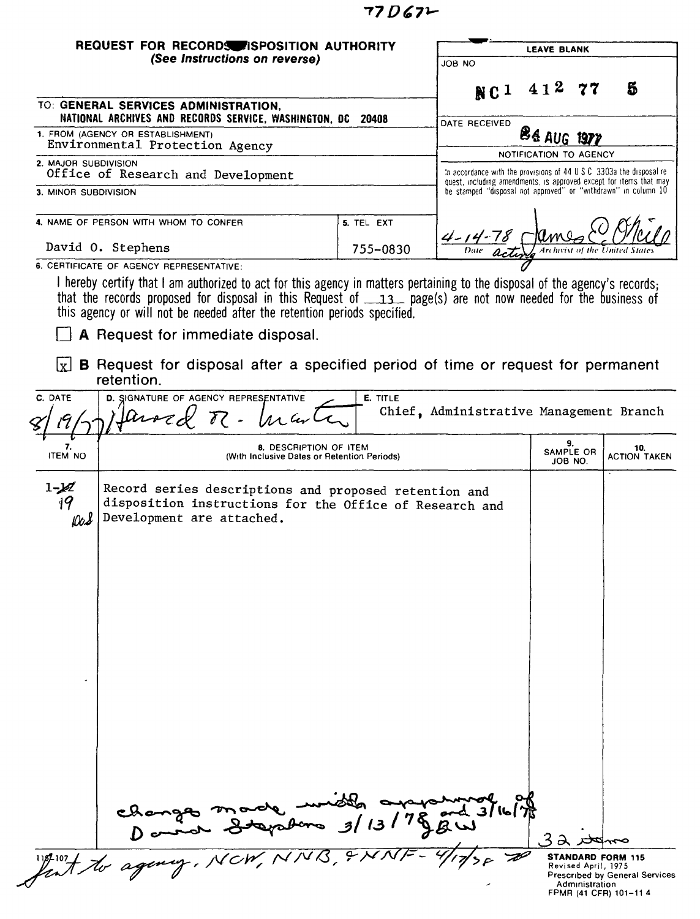## $77D67L$

| (See Instructions on reverse)                                                                                                                                                                                                                                                             |                                                                              | JOB NO                                                                                                                                                                                                        |                            |                            |
|-------------------------------------------------------------------------------------------------------------------------------------------------------------------------------------------------------------------------------------------------------------------------------------------|------------------------------------------------------------------------------|---------------------------------------------------------------------------------------------------------------------------------------------------------------------------------------------------------------|----------------------------|----------------------------|
|                                                                                                                                                                                                                                                                                           |                                                                              |                                                                                                                                                                                                               |                            |                            |
| TO: GENERAL SERVICES ADMINISTRATION,<br>NATIONAL ARCHIVES AND RECORDS SERVICE, WASHINGTON, DC 20408                                                                                                                                                                                       |                                                                              | NC <sup>1</sup>                                                                                                                                                                                               | 412.77                     | Б                          |
| 1. FROM (AGENCY OR ESTABLISHMENT)                                                                                                                                                                                                                                                         |                                                                              | DATE RECEIVED                                                                                                                                                                                                 | <b>ES AUG 1977</b>         |                            |
| Environmental Protection Agency<br>2. MAJOR SUBDIVISION                                                                                                                                                                                                                                   |                                                                              |                                                                                                                                                                                                               | NOTIFICATION TO AGENCY     |                            |
| Office of Research and Development<br>3. MINOR SUBDIVISION                                                                                                                                                                                                                                |                                                                              | In accordance with the provisions of 44 U.S.C. 3303a the disposal re-<br>quest, including amendments, is approved except for items that may<br>be stamped "disposal not approved" or "withdrawn" in column 10 |                            |                            |
|                                                                                                                                                                                                                                                                                           |                                                                              |                                                                                                                                                                                                               |                            |                            |
| 4. NAME OF PERSON WITH WHOM TO CONFER                                                                                                                                                                                                                                                     | 5. TEL EXT                                                                   |                                                                                                                                                                                                               |                            |                            |
| David O. Stephens<br>6. CERTIFICATE OF AGENCY REPRESENTATIVE:                                                                                                                                                                                                                             | 755-0830                                                                     |                                                                                                                                                                                                               |                            |                            |
| this agency or will not be needed after the retention periods specified.<br>A Request for immediate disposal.<br>$\overline{x}$ <b>B</b> Request for disposal after a specified period of time or request for permanent<br>retention.<br>C. DATE<br>D. SIGNATURE OF AGENCY REPRESENTATIVE | E. TITLE                                                                     |                                                                                                                                                                                                               |                            |                            |
| $\mathfrak{a}_{\mathfrak{o}\mathfrak{o}}$<br>$\overline{\ell}$ .                                                                                                                                                                                                                          |                                                                              | Chief, Administrative Management Branch                                                                                                                                                                       |                            |                            |
| 7.<br><b>ITEM NO</b>                                                                                                                                                                                                                                                                      | <b>8. DESCRIPTION OF ITEM</b><br>(With Inclusive Dates or Retention Periods) |                                                                                                                                                                                                               | 9.<br>SAMPLE OR<br>JOB NO. | 10.<br><b>ACTION TAKEN</b> |
| Record series descriptions and proposed retention and<br>19<br>disposition instructions for the Office of Research and<br>Development are attached.<br>Do <b>s</b><br>Changes made wides                                                                                                  |                                                                              |                                                                                                                                                                                                               |                            |                            |
|                                                                                                                                                                                                                                                                                           |                                                                              |                                                                                                                                                                                                               |                            |                            |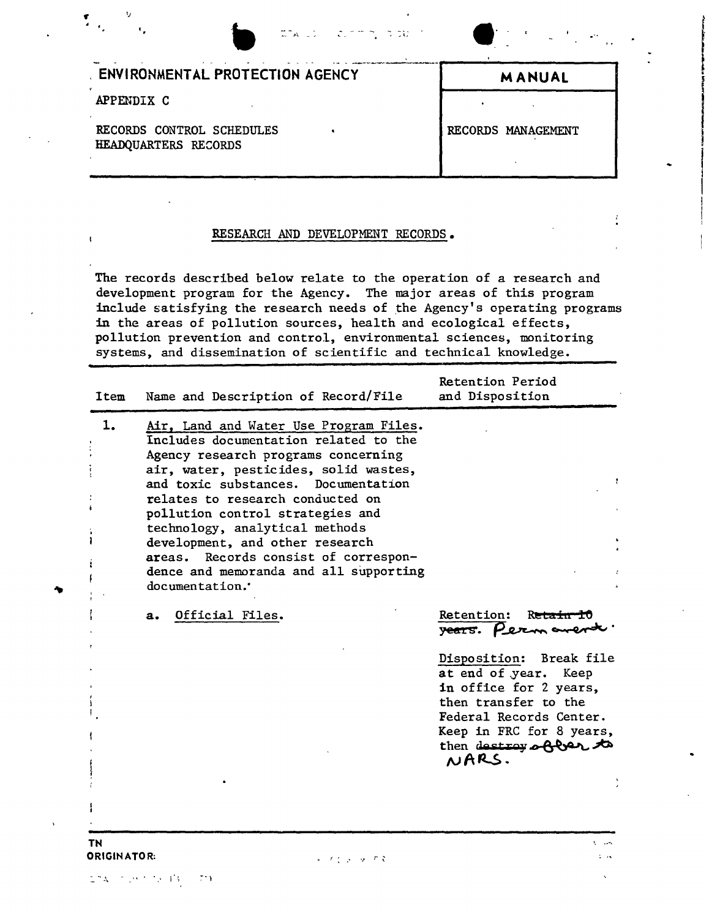| <b>ETALD CLOTT, TOU</b>                           | $\mathbf{F}^{(n)}$ and $\mathbf{F}^{(n)}$ and $\mathbf{F}^{(n)}$<br>$\Delta$ and |
|---------------------------------------------------|----------------------------------------------------------------------------------|
| <b>ENVIRONMENTAL PROTECTION AGENCY</b>            | <b>MANUAL</b>                                                                    |
| APPENDIX C                                        |                                                                                  |
| RECORDS CONTROL SCHEDULES<br>HEADQUARTERS RECORDS | RECORDS MANAGEMENT                                                               |

I

## RESEARCH AND DEVELOPMENT RECORDS.

The records described below relate to the operation of a research and development program for the Agency. The major areas of this program include satisfying the research needs of the Agency's operating programs in the areas of pollution sources, health and ecological effects, pollution prevention and control, environmental sciences, monitoring systems, and dissemination of scientific and technical knowledge.

| Item              | Name and Description of Record/File                                                                                                                                                                                                                                                                                                                                                                                                                        | Retention Period<br>and Disposition                                                                                                                                                                                                    |
|-------------------|------------------------------------------------------------------------------------------------------------------------------------------------------------------------------------------------------------------------------------------------------------------------------------------------------------------------------------------------------------------------------------------------------------------------------------------------------------|----------------------------------------------------------------------------------------------------------------------------------------------------------------------------------------------------------------------------------------|
| 1.                | Air, Land and Water Use Program Files.<br>Includes documentation related to the<br>Agency research programs concerning<br>air, water, pesticides, solid wastes,<br>and toxic substances. Documentation<br>relates to research conducted on<br>pollution control strategies and<br>technology, analytical methods<br>development, and other research<br>Records consist of correspon-<br>areas.<br>dence and memoranda and all supporting<br>documentation. |                                                                                                                                                                                                                                        |
|                   | Official Files.<br>a.                                                                                                                                                                                                                                                                                                                                                                                                                                      | Retention: Retain 10<br>years. Permaner<br>Disposition: Break file<br>at end of year. Keep<br>in office for 2 years,<br>then transfer to the<br>Federal Records Center.<br>Keep in FRC for 8 years,<br>then destroy of car to<br>NARS. |
| TN<br>ORIGINATOR: | レーナイ メール・ので                                                                                                                                                                                                                                                                                                                                                                                                                                                | $1 - 14$                                                                                                                                                                                                                               |

 $274.75393333773$ 

 $\mathbf{t}$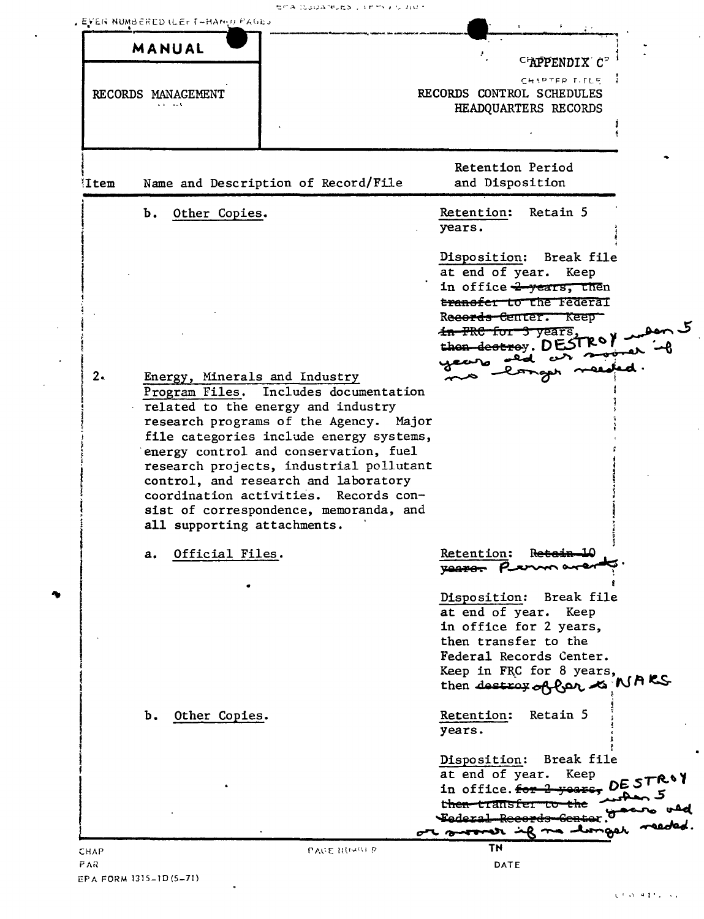|  |  | セグス にっぽんかいどう ディビアドテル ムロー |
|--|--|--------------------------|
|  |  |                          |

|              | MANUAL             |                                                                        |                                                    |
|--------------|--------------------|------------------------------------------------------------------------|----------------------------------------------------|
|              |                    |                                                                        | C'APPENDIX C"                                      |
|              |                    |                                                                        | CHIPTER TITLE                                      |
|              | RECORDS MANAGEMENT |                                                                        | RECORDS CONTROL SCHEDULES                          |
|              |                    |                                                                        | HEADQUARTERS RECORDS                               |
|              |                    |                                                                        |                                                    |
|              |                    |                                                                        |                                                    |
|              |                    |                                                                        | Retention Period                                   |
| <b>Item!</b> |                    | Name and Description of Record/File                                    | and Disposition                                    |
|              | Ъ.                 | Other Copies.                                                          | Retention:<br>Retain 5                             |
|              |                    |                                                                        | years.                                             |
|              |                    |                                                                        |                                                    |
|              |                    |                                                                        | Disposition: Break file                            |
|              |                    |                                                                        | at end of year. Keep                               |
|              |                    |                                                                        | in office 2 years, then                            |
|              |                    |                                                                        | transfer to the Federal                            |
|              |                    |                                                                        | Records Center. Keep                               |
|              |                    |                                                                        | <del>in FRC for 3 years</del> ,                    |
|              |                    |                                                                        | then destroy. DESTROY                              |
| 2.           |                    |                                                                        |                                                    |
|              |                    | Energy, Minerals and Industry<br>Program Files. Includes documentation |                                                    |
|              |                    |                                                                        |                                                    |
|              |                    | related to the energy and industry                                     |                                                    |
|              |                    | research programs of the Agency. Major                                 |                                                    |
|              |                    | file categories include energy systems,                                |                                                    |
|              |                    | energy control and conservation, fuel                                  |                                                    |
|              |                    | research projects, industrial pollutant                                |                                                    |
|              |                    | control, and research and laboratory                                   |                                                    |
|              |                    | coordination activities. Records con-                                  |                                                    |
|              |                    | sist of correspondence, memoranda, and<br>all supporting attachments.  |                                                    |
|              |                    |                                                                        |                                                    |
|              | a.                 | Official Files.                                                        | Retention:<br>Reterin 10                           |
|              |                    |                                                                        | <b>Vearer</b>                                      |
|              |                    |                                                                        | Disposition: Break file                            |
|              |                    |                                                                        | at end of year. Keep                               |
|              |                    |                                                                        | in office for 2 years,                             |
|              |                    |                                                                        | then transfer to the                               |
|              |                    |                                                                        | Federal Records Center.                            |
|              |                    |                                                                        | Keep in FRC for 8 years,                           |
|              |                    |                                                                        | then destroy of far is NAKS                        |
|              |                    |                                                                        |                                                    |
|              | b. Other Copies.   |                                                                        | Retain 5<br>Retention:                             |
|              |                    |                                                                        | years.                                             |
|              |                    |                                                                        | Break file                                         |
|              |                    |                                                                        | Disposition:<br>Keep                               |
|              |                    |                                                                        | at end of year.<br>in office. for 2 years, DESTROY |
|              |                    |                                                                        | t <del>hen t</del> ransfer                         |
|              |                    |                                                                        | <del>- Tederal Record</del> s                      |
|              |                    |                                                                        | ar sorrer if no 1                                  |
| CHAP         |                    | PACE NUMBER                                                            | TN                                                 |
| P AR-        |                    |                                                                        | DATE                                               |

 $\ddot{\phantom{0}}$ 

 $\ddot{\phantom{a}}$ 

 $\ddot{\phantom{a}}$ 

 $\mathbf{r}$ 

 $\mathcal{L}$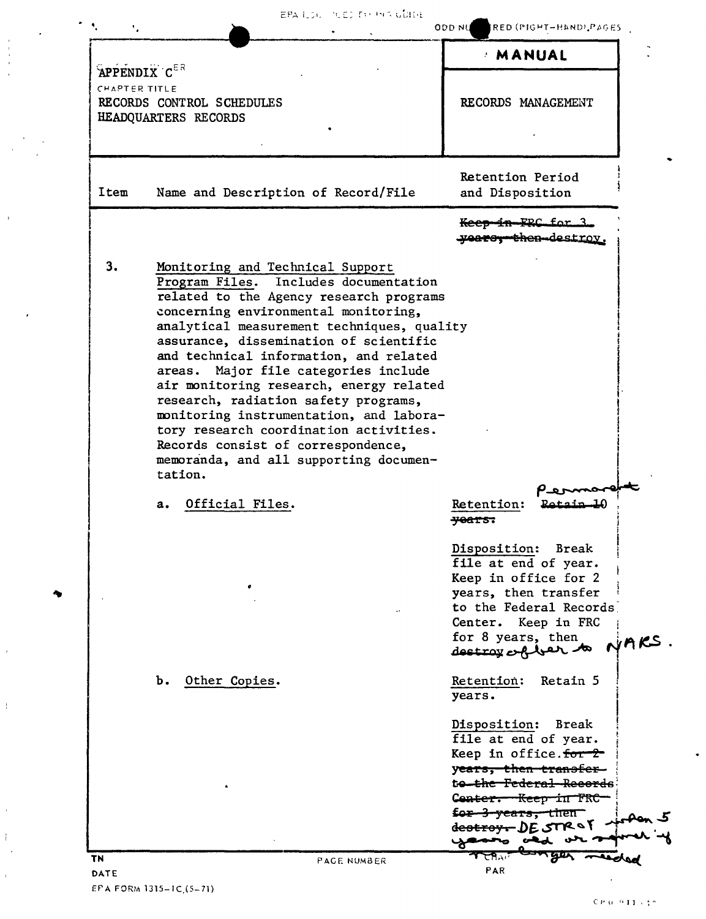|                                                                                    |                                                                                                                                                                                                                                                                                                                                                                                                                                                                                                                                                                                                           | MANUAL                                                                                                                                                                                                                                            |                  |
|------------------------------------------------------------------------------------|-----------------------------------------------------------------------------------------------------------------------------------------------------------------------------------------------------------------------------------------------------------------------------------------------------------------------------------------------------------------------------------------------------------------------------------------------------------------------------------------------------------------------------------------------------------------------------------------------------------|---------------------------------------------------------------------------------------------------------------------------------------------------------------------------------------------------------------------------------------------------|------------------|
| APPENDIX CER<br>CHAPTER TITLE<br>RECORDS CONTROL SCHEDULES<br>HEADQUARTERS RECORDS |                                                                                                                                                                                                                                                                                                                                                                                                                                                                                                                                                                                                           | RECORDS MANAGEMENT                                                                                                                                                                                                                                |                  |
| Item                                                                               | Name and Description of Record/File                                                                                                                                                                                                                                                                                                                                                                                                                                                                                                                                                                       | Retention Period<br>and Disposition                                                                                                                                                                                                               |                  |
|                                                                                    |                                                                                                                                                                                                                                                                                                                                                                                                                                                                                                                                                                                                           | Keep in FRC for 3.<br>years, then-destroy.                                                                                                                                                                                                        |                  |
| 3.                                                                                 | Monitoring and Technical Support<br>Program Files. Includes documentation<br>related to the Agency research programs<br>concerning environmental monitoring,<br>analytical measurement techniques, quality<br>assurance, dissemination of scientific<br>and technical information, and related<br>areas. Major file categories include<br>air monitoring research, energy related<br>research, radiation safety programs,<br>monitoring instrumentation, and labora-<br>tory research coordination activities.<br>Records consist of correspondence,<br>memoranda, and all supporting documen-<br>tation. |                                                                                                                                                                                                                                                   |                  |
|                                                                                    | Official Files.<br>а.                                                                                                                                                                                                                                                                                                                                                                                                                                                                                                                                                                                     | Retention:<br><del>years.</del>                                                                                                                                                                                                                   |                  |
|                                                                                    |                                                                                                                                                                                                                                                                                                                                                                                                                                                                                                                                                                                                           | Disposition:<br>file at end of year.<br>Keep in office for 2<br>years, then transfer<br>to the Federal Records<br>Center. Keep in FRC<br>for 8 years, then<br>destroy of ber                                                                      | Break<br>$RSS$ . |
|                                                                                    | Other Copies.<br>b.                                                                                                                                                                                                                                                                                                                                                                                                                                                                                                                                                                                       | Retention:<br>years.                                                                                                                                                                                                                              | Retain 5         |
|                                                                                    |                                                                                                                                                                                                                                                                                                                                                                                                                                                                                                                                                                                                           | Disposition: Break<br>file at end of year.<br>Keep in office. for 2<br>y <del>ears, then transfer</del><br>t <del>o the Federal Records</del><br>Conter. Keep in FRC<br><del>for 3 years, then</del><br>de <del>stroy.</del> DE STR & T<br>صعصعها |                  |

 $CP(0)^{-\alpha}11^{\alpha}+1^{\alpha}$ 

 $\hat{\mathcal{A}}$ 

EPA FORM 1315-1C.(5-71)

 $\sim$ 

 $\sim$ 

 $\hat{\mathcal{A}}$ 

 $\bar{1}$ 

 $\hat{\boldsymbol{\theta}}$ 

 $\uparrow$  $\sim$ 

 $\hat{\boldsymbol{\theta}}$ 

 $\epsilon$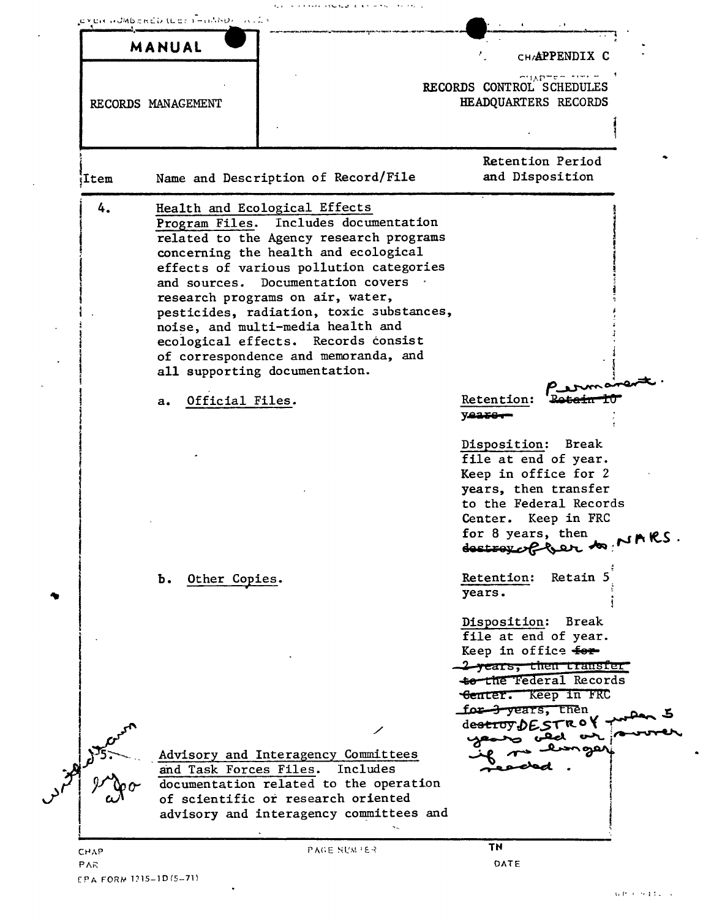|      | MANUAL                 |                                                                                                                                                                                                                                                                                                                                                                                                                                                                                | CHAPPENDIX C                                                                                                                                                                                |
|------|------------------------|--------------------------------------------------------------------------------------------------------------------------------------------------------------------------------------------------------------------------------------------------------------------------------------------------------------------------------------------------------------------------------------------------------------------------------------------------------------------------------|---------------------------------------------------------------------------------------------------------------------------------------------------------------------------------------------|
|      | RECORDS MANAGEMENT     |                                                                                                                                                                                                                                                                                                                                                                                                                                                                                | $\sim$ HAPTET $\sim$<br>RECORDS CONTROL SCHEDULES<br>HEADQUARTERS RECORDS                                                                                                                   |
|      |                        |                                                                                                                                                                                                                                                                                                                                                                                                                                                                                |                                                                                                                                                                                             |
| Item |                        | Name and Description of Record/File                                                                                                                                                                                                                                                                                                                                                                                                                                            | Retention Period<br>and Disposition                                                                                                                                                         |
| 4.   | Official Files.<br>a.  | Health and Ecological Effects<br>Program Files. Includes documentation<br>related to the Agency research programs<br>concerning the health and ecological<br>effects of various pollution categories<br>and sources. Documentation covers<br>research programs on air, water,<br>pesticides, radiation, toxic substances,<br>noise, and multi-media health and<br>ecological effects. Records consist<br>of correspondence and memoranda, and<br>all supporting documentation. | Retention:<br>yeare-                                                                                                                                                                        |
|      |                        |                                                                                                                                                                                                                                                                                                                                                                                                                                                                                | Disposition: Break<br>file at end of year.<br>Keep in office for 2<br>years, then transfer<br>to the Federal Records<br>Center. Keep in FRC<br>for 8 years, then<br>destroy of Ger to NARS. |
|      | Other Copies.<br>ъ.    |                                                                                                                                                                                                                                                                                                                                                                                                                                                                                | Retention:<br>Retain 5<br>years.                                                                                                                                                            |
|      |                        |                                                                                                                                                                                                                                                                                                                                                                                                                                                                                | Disposition:<br>Break<br>file at end of year.<br>Keep in office for<br><del>-2 years, then transfer</del><br>to the Federal Records<br>Center. Keep in FRC<br>for 3 years, then             |
|      |                        |                                                                                                                                                                                                                                                                                                                                                                                                                                                                                | destroy DESTROY                                                                                                                                                                             |
|      | and Task Forces Files. | Advisory and Interagency Committees<br>Includes<br>documentation related to the operation<br>of scientific or research oriented<br>advisory and interagency committees and                                                                                                                                                                                                                                                                                                     |                                                                                                                                                                                             |

 $\ddot{\phantom{a}}$ 

 $\overline{a}$ 

 $\ddot{\phantom{a}}$ 

 $\overline{a}$ 

 $\ddot{\phantom{0}}$ 

 $\hat{\mathcal{A}}$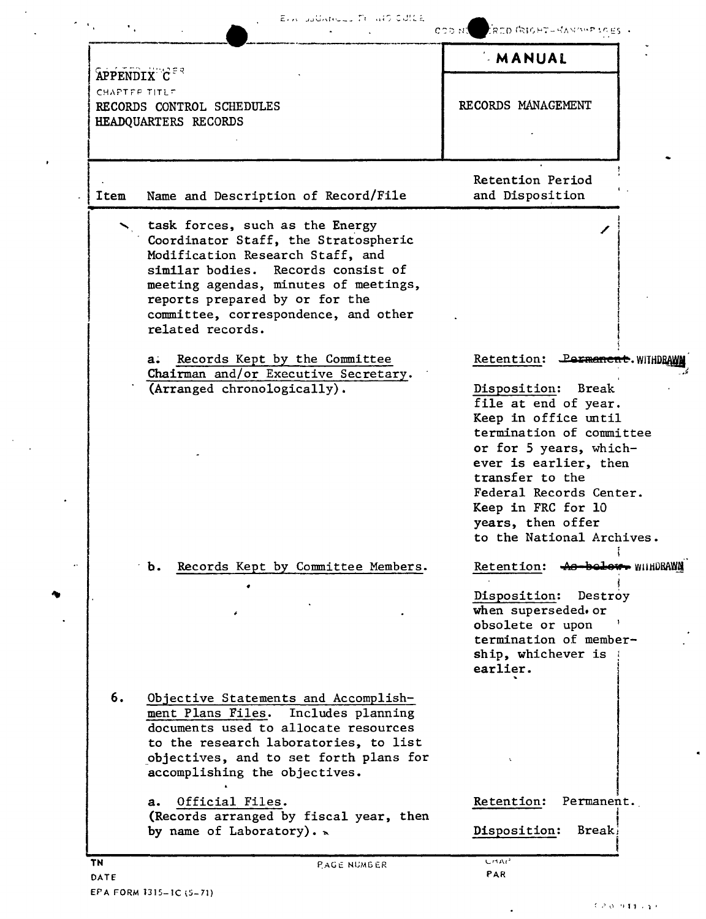|                   | Elix additional Transformation                                                                                                                                                                                                                                                           |                                                                                                                                                                                                                                                                                                                   |
|-------------------|------------------------------------------------------------------------------------------------------------------------------------------------------------------------------------------------------------------------------------------------------------------------------------------|-------------------------------------------------------------------------------------------------------------------------------------------------------------------------------------------------------------------------------------------------------------------------------------------------------------------|
| <b>APPENDIX</b> C |                                                                                                                                                                                                                                                                                          | ROD (RIGHT-HANDIFFICES +<br>COD NA<br><b>MANUAL</b>                                                                                                                                                                                                                                                               |
| CHAPTER TITLE     | RECORDS CONTROL SCHEDULES<br>HEADQUARTERS RECORDS                                                                                                                                                                                                                                        | RECORDS MANAGEMENT                                                                                                                                                                                                                                                                                                |
| Item              | Name and Description of Record/File                                                                                                                                                                                                                                                      | Retention Period<br>and Disposition                                                                                                                                                                                                                                                                               |
|                   | task forces, such as the Energy<br>Coordinator Staff, the Stratospheric<br>Modification Research Staff, and<br>similar bodies. Records consist of<br>meeting agendas, minutes of meetings,<br>reports prepared by or for the<br>committee, correspondence, and other<br>related records. |                                                                                                                                                                                                                                                                                                                   |
|                   | Records Kept by the Committee<br>a.<br>Chairman and/or Executive Secretary.<br>(Arranged chronologically).                                                                                                                                                                               | Retention:<br><b>Permanent.</b> WITHDR<br>Disposition: Break<br>file at end of year.<br>Keep in office until<br>termination of committee<br>or for 5 years, which-<br>ever is earlier, then<br>transfer to the<br>Federal Records Center.<br>Keep in FRC for 10<br>years, then offer<br>to the National Archives. |
|                   | Records Kept by Committee Members.<br>Ъ.                                                                                                                                                                                                                                                 | Retention: 40 bolow WIHDRAWN<br>Disposition:<br>Destroy<br>when superseded. or<br>obsolete or upon<br>termination of member-<br>ship, whichever is<br>earlier.                                                                                                                                                    |
| 6.                | Objective Statements and Accomplish-<br>ment Plans Files. Includes planning<br>documents used to allocate resources<br>to the research laboratories, to list<br>objectives, and to set forth plans for<br>accomplishing the objectives.                                                  |                                                                                                                                                                                                                                                                                                                   |
|                   | Official Files.<br>a.<br>(Records arranged by fiscal year, then<br>by name of Laboratory). $\sim$                                                                                                                                                                                        | Retention:<br>Permanent.<br>Disposition:<br><b>Break</b>                                                                                                                                                                                                                                                          |
| TN                | PAGE NUMBER                                                                                                                                                                                                                                                                              | <b>UMAP</b>                                                                                                                                                                                                                                                                                                       |

 $\ddot{\phantom{0}}$ 

 $\ddot{\phantom{a}}$ 

 $\bullet$ 

 $\sim$ 

 $\mathbf{A}$ 

 $\omega$ 

 $\bullet$ 

 $\ddot{\phantom{0}}$ 

 $\sim 10^{-10}$ 

.

ä,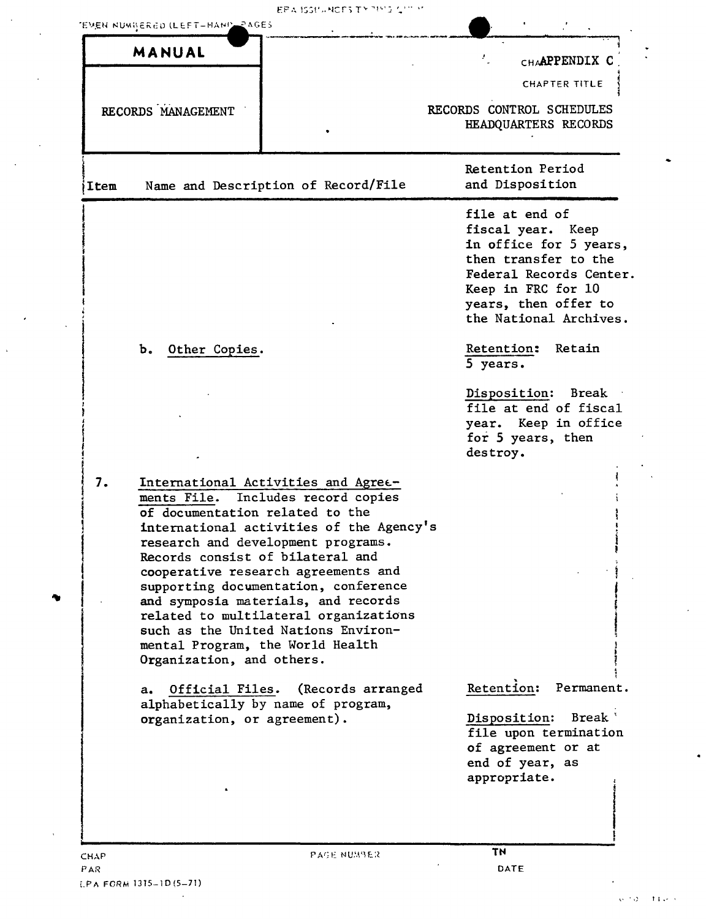EPA ISSIMACES TY THIS CITY

 $\bar{z}$ 

|               | MANUAL                                          |                                                                                                                                                                                                                                                                                                                                                                                                                                                                              | $\mathcal{F}_{\omega}$<br>CHAAPPENDIX C                                                                                                                                                                                 |
|---------------|-------------------------------------------------|------------------------------------------------------------------------------------------------------------------------------------------------------------------------------------------------------------------------------------------------------------------------------------------------------------------------------------------------------------------------------------------------------------------------------------------------------------------------------|-------------------------------------------------------------------------------------------------------------------------------------------------------------------------------------------------------------------------|
|               |                                                 |                                                                                                                                                                                                                                                                                                                                                                                                                                                                              | CHAPTER TITLE                                                                                                                                                                                                           |
|               | RECORDS MANAGEMENT                              |                                                                                                                                                                                                                                                                                                                                                                                                                                                                              | RECORDS CONTROL SCHEDULES<br>HEADQUARTERS RECORDS                                                                                                                                                                       |
| Item          |                                                 | Name and Description of Record/File                                                                                                                                                                                                                                                                                                                                                                                                                                          | Retention Period<br>and Disposition                                                                                                                                                                                     |
|               | b. Other Copies.                                |                                                                                                                                                                                                                                                                                                                                                                                                                                                                              | file at end of<br>fiscal year. Keep<br>in office for 5 years,<br>then transfer to the<br>Federal Records Center.<br>Keep in FRC for 10<br>years, then offer to<br>the National Archives.<br><b>Retention:</b><br>Retain |
|               |                                                 |                                                                                                                                                                                                                                                                                                                                                                                                                                                                              | 5 years.<br>Disposition: Break<br>file at end of fiscal<br>year. Keep in office<br>for 5 years, then<br>destroy.                                                                                                        |
| 7.            | Organization, and others.                       | International Activities and Agree-<br>ments File. Includes record copies<br>of documentation related to the<br>international activities of the Agency's<br>research and development programs.<br>Records consist of bilateral and<br>cooperative research agreements and<br>supporting documentation, conference<br>and symposia materials, and records<br>related to multilateral organizations<br>such as the United Nations Environ-<br>mental Program, the World Health | Retention:<br>Permanent.                                                                                                                                                                                                |
| $a_{\bullet}$ | Official Files.<br>organization, or agreement). | (Records arranged<br>alphabetically by name of program,                                                                                                                                                                                                                                                                                                                                                                                                                      | Disposition:<br>Break '<br>file upon termination<br>of agreement or at<br>end of year, as<br>appropriate.                                                                                                               |
|               |                                                 |                                                                                                                                                                                                                                                                                                                                                                                                                                                                              |                                                                                                                                                                                                                         |

 $\sim 10^{11}$  km  $^{-1}$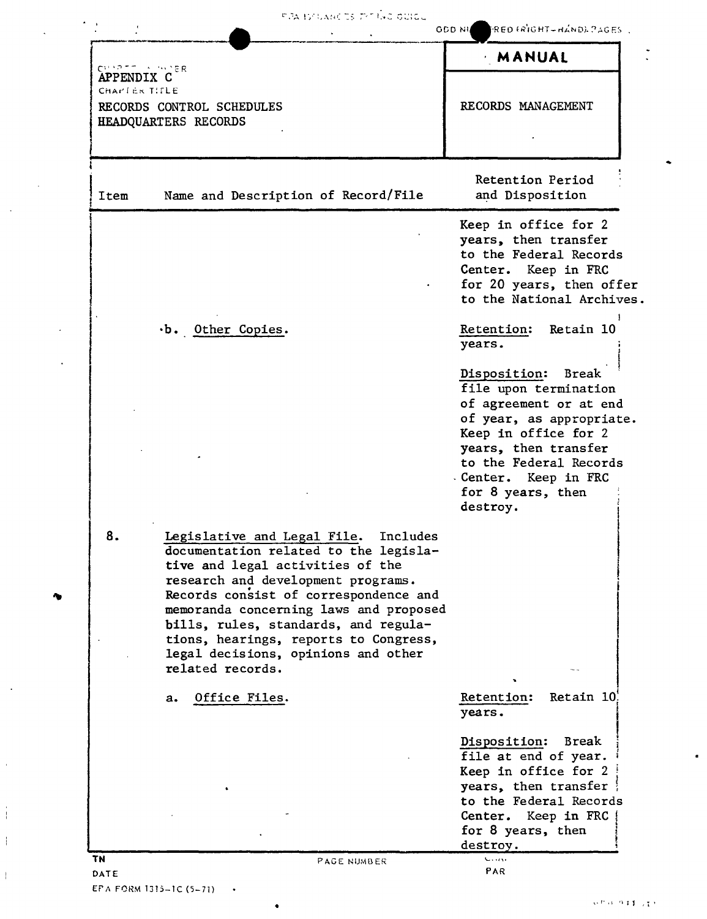|                                              |                                                                                                                                                                                                                                                                                                                                                                                           | <b>MANUAL</b>                                                                                                                                                                                                                                 |
|----------------------------------------------|-------------------------------------------------------------------------------------------------------------------------------------------------------------------------------------------------------------------------------------------------------------------------------------------------------------------------------------------------------------------------------------------|-----------------------------------------------------------------------------------------------------------------------------------------------------------------------------------------------------------------------------------------------|
| CHAPTE A WAPR<br>APPENDIX C<br>CHAPTER TITLE | RECORDS CONTROL SCHEDULES<br>HEADQUARTERS RECORDS                                                                                                                                                                                                                                                                                                                                         | RECORDS MANAGEMENT                                                                                                                                                                                                                            |
| Item                                         | Name and Description of Record/File                                                                                                                                                                                                                                                                                                                                                       | Retention Period<br>and Disposition                                                                                                                                                                                                           |
|                                              |                                                                                                                                                                                                                                                                                                                                                                                           | Keep in office for 2<br>years, then transfer<br>to the Federal Records<br>Center. Keep in FRC<br>for 20 years, then offer<br>to the National Archives.                                                                                        |
|                                              | $\cdot$ b. Other Copies.                                                                                                                                                                                                                                                                                                                                                                  | Retention: Retain 10<br>years.                                                                                                                                                                                                                |
|                                              |                                                                                                                                                                                                                                                                                                                                                                                           | Disposition:<br><b>Break</b><br>file upon termination<br>of agreement or at end<br>of year, as appropriate.<br>Keep in office for 2<br>years, then transfer<br>to the Federal Records<br>Center. Keep in FRC<br>for 8 years, then<br>destroy. |
| 8.                                           | Legislative and Legal File.<br>Includes<br>documentation related to the legisla-<br>tive and legal activities of the<br>research and development programs.<br>Records consist of correspondence and<br>memoranda concerning laws and proposed<br>bills, rules, standards, and regula-<br>tions, hearings, reports to Congress,<br>legal decisions, opinions and other<br>related records. |                                                                                                                                                                                                                                               |
|                                              | Office Files.<br>a.                                                                                                                                                                                                                                                                                                                                                                       | Retain 10<br>Retention:<br>years.                                                                                                                                                                                                             |
|                                              |                                                                                                                                                                                                                                                                                                                                                                                           | Disposition:<br>Break<br>file at end of year.<br>Keep in office for 2<br>years, then transfer<br>to the Federal Records<br>Center. Keep in FRC<br>for 8 years, then<br>destroy.                                                               |

 $\bullet$ 

×

 $\ddot{\phantom{a}}$ 

 $\mathcal{A}$ 

 $\bar{\mathbf{r}}$ 

Ť

 $\frac{1}{2}$ 

 $\mathbf{I}$ 

 $\langle \cdot \rangle$ 

 $\cdot$ 

 $\bullet$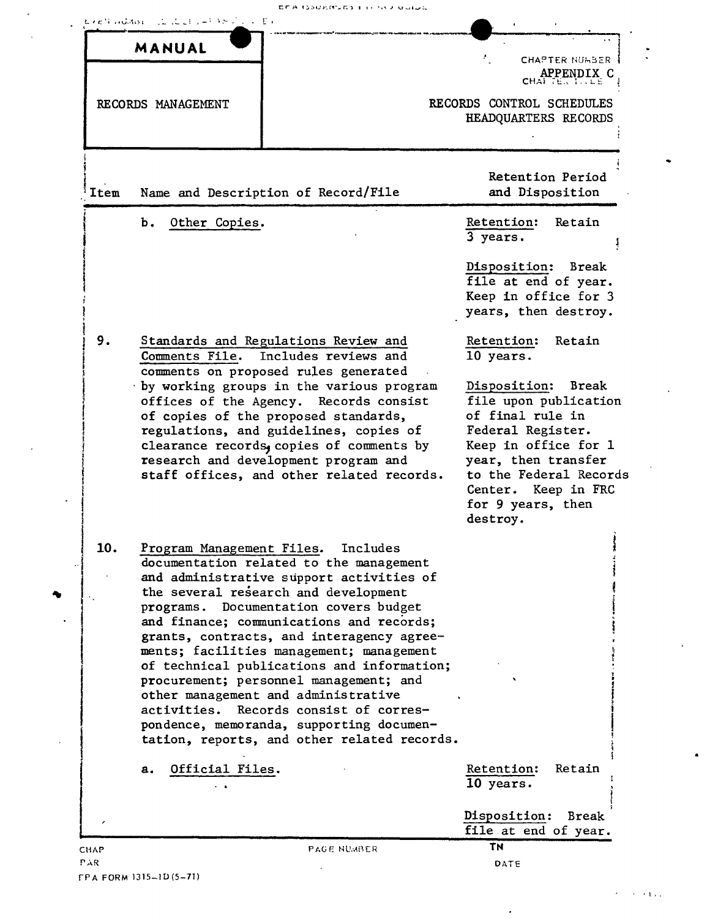|      | MANUAL                                 |                                                                                                                                                                                                                                                                                                                                               |                                                                                                                                                                                                                       |
|------|----------------------------------------|-----------------------------------------------------------------------------------------------------------------------------------------------------------------------------------------------------------------------------------------------------------------------------------------------------------------------------------------------|-----------------------------------------------------------------------------------------------------------------------------------------------------------------------------------------------------------------------|
|      |                                        |                                                                                                                                                                                                                                                                                                                                               | <b>CHAPTER NUMBER</b><br>CHAPPENDIX C                                                                                                                                                                                 |
|      | RECORDS MANAGEMENT                     |                                                                                                                                                                                                                                                                                                                                               | RECORDS CONTROL SCHEDULES<br>HEADQUARTERS RECORDS                                                                                                                                                                     |
| Item |                                        | Name and Description of Record/File                                                                                                                                                                                                                                                                                                           | Retention Period<br>and Disposition                                                                                                                                                                                   |
|      | Ъ.<br>Other Copies.                    |                                                                                                                                                                                                                                                                                                                                               | Retention:<br>Retain<br>3 years.                                                                                                                                                                                      |
|      |                                        |                                                                                                                                                                                                                                                                                                                                               | Disposition: Break<br>file at end of year.<br>Keep in office for 3<br>years, then destroy.                                                                                                                            |
| 9.   |                                        | Standards and Regulations Review and<br>Comments File. Includes reviews and<br>comments on proposed rules generated                                                                                                                                                                                                                           | Retention:<br>Retain<br>10 years.                                                                                                                                                                                     |
|      |                                        | by working groups in the various program<br>offices of the Agency. Records consist<br>of copies of the proposed standards,<br>regulations, and guidelines, copies of<br>clearance records, copies of comments by<br>research and development program and<br>staff offices, and other related records.                                         | Disposition: Break<br>file upon publication<br>of final rule in<br>Federal Register.<br>Keep in office for 1<br>year, then transfer<br>to the Federal Records<br>Center. Keep in FRC<br>for 9 years, then<br>destroy. |
| 10.  | Program Management Files.<br>programs. | Includes<br>documentation related to the management<br>and administrative support activities of<br>the several research and development<br>Documentation covers budget<br>and finance; communications and records;                                                                                                                            |                                                                                                                                                                                                                       |
|      | activities.                            | grants, contracts, and interagency agree-<br>ments; facilities management; management<br>of technical publications and information;<br>procurement; personnel management; and<br>other management and administrative<br>Records consist of corres-<br>pondence, memoranda, supporting documen-<br>tation, reports, and other related records. |                                                                                                                                                                                                                       |
|      | Official Files.<br>a.                  |                                                                                                                                                                                                                                                                                                                                               | Retention:<br>Retain<br>10 years.                                                                                                                                                                                     |
|      |                                        |                                                                                                                                                                                                                                                                                                                                               | Disposition:<br><b>Break</b><br>file at end of year.                                                                                                                                                                  |
|      |                                        | <b>PAGE NUMBER</b>                                                                                                                                                                                                                                                                                                                            | TN                                                                                                                                                                                                                    |

EFA (SSURRUES ETHING BUILDE

 $\mathcal{F} \rightarrow \mathcal{F}$  and

FPA FORM 1315-1D (5-71)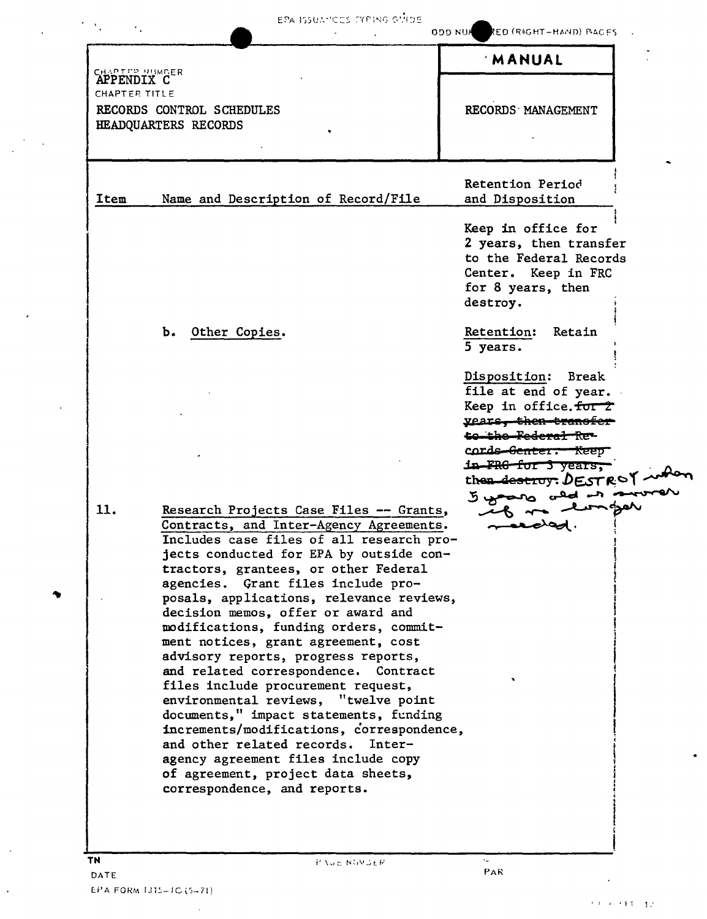| <b>EPA ISSUAMCES EYPING GUIDE</b> |  |  |
|-----------------------------------|--|--|

 $\sigma_{\rm{max}}=1.2$  .

**ODD NUMBER (RIGHT-HAND) PACES** 

|                     |                                                                               | MANUAL                           |  |
|---------------------|-------------------------------------------------------------------------------|----------------------------------|--|
| <b>APPENDIX CER</b> |                                                                               |                                  |  |
| CHAPTER TITLE       |                                                                               |                                  |  |
|                     | RECORDS CONTROL SCHEDULES                                                     | RECORDS MANAGEMENT               |  |
|                     | HEADQUARTERS RECORDS                                                          |                                  |  |
|                     |                                                                               |                                  |  |
|                     |                                                                               |                                  |  |
|                     |                                                                               | Retention Period                 |  |
| Item                | Name and Description of Record/File                                           | and Disposition                  |  |
|                     |                                                                               |                                  |  |
|                     |                                                                               | Keep in office for               |  |
|                     |                                                                               | 2 years, then transfer           |  |
|                     |                                                                               | to the Federal Records           |  |
|                     |                                                                               | Center. Keep in FRC              |  |
|                     |                                                                               | for 8 years, then                |  |
|                     |                                                                               | destroy.                         |  |
|                     |                                                                               |                                  |  |
|                     | b. Other Copies.                                                              | Retention:<br>Retain<br>5 years. |  |
|                     |                                                                               |                                  |  |
|                     |                                                                               | Disposition: Break               |  |
|                     |                                                                               | file at end of year.             |  |
|                     |                                                                               | Keep in office.for 2             |  |
|                     |                                                                               | <u>vears, then-transfer</u>      |  |
|                     |                                                                               | to the Federal Re-               |  |
|                     |                                                                               | cords Genter. Keep               |  |
|                     |                                                                               | in FRG for 3 years,              |  |
|                     |                                                                               | then destroy: $DESTROV$          |  |
| 11.                 | Research Projects Case Files -- Grants,                                       | The rules are you                |  |
|                     | Contracts, and Inter-Agency Agreements.                                       |                                  |  |
|                     | Includes case files of all research pro-                                      |                                  |  |
|                     | jects conducted for EPA by outside con-                                       |                                  |  |
|                     | tractors, grantees, or other Federal                                          |                                  |  |
|                     | agencies.  Grant files include pro-                                           |                                  |  |
|                     | posals, applications, relevance reviews,                                      |                                  |  |
|                     | decision memos, offer or award and                                            |                                  |  |
|                     | modifications, funding orders, commit-<br>ment notices, grant agreement, cost |                                  |  |
|                     | advisory reports, progress reports,                                           |                                  |  |
|                     | and related correspondence.<br>Contract                                       |                                  |  |
|                     | files include procurement request,                                            |                                  |  |
|                     | environmental reviews, "twelve point                                          |                                  |  |
|                     | documents," impact statements, funding                                        |                                  |  |
|                     | increments/modifications, correspondence,                                     |                                  |  |
|                     | and other related records. Inter-                                             |                                  |  |
|                     | agency agreement files include copy                                           |                                  |  |
|                     | of agreement, project data sheets,                                            |                                  |  |
|                     | correspondence, and reports.                                                  |                                  |  |
|                     |                                                                               |                                  |  |
|                     |                                                                               |                                  |  |
|                     |                                                                               |                                  |  |
| TN.                 |                                                                               |                                  |  |

 $\sim 10^6$ 

 $\mathcal{F}(\mathcal{S}_1) \subset \mathcal{F}_1$ 

 $\ddot{\phantom{0}}$ 

 $\mathcal{F}^{\text{max}}_{\text{max}}$ 

 $\ddot{\phantom{1}}$ 

 $\mathcal{A}$ 

 $\langle \cdot \rangle$ 

 $\sim$ 

 $\sim 10^{11}$  km  $^{-1}$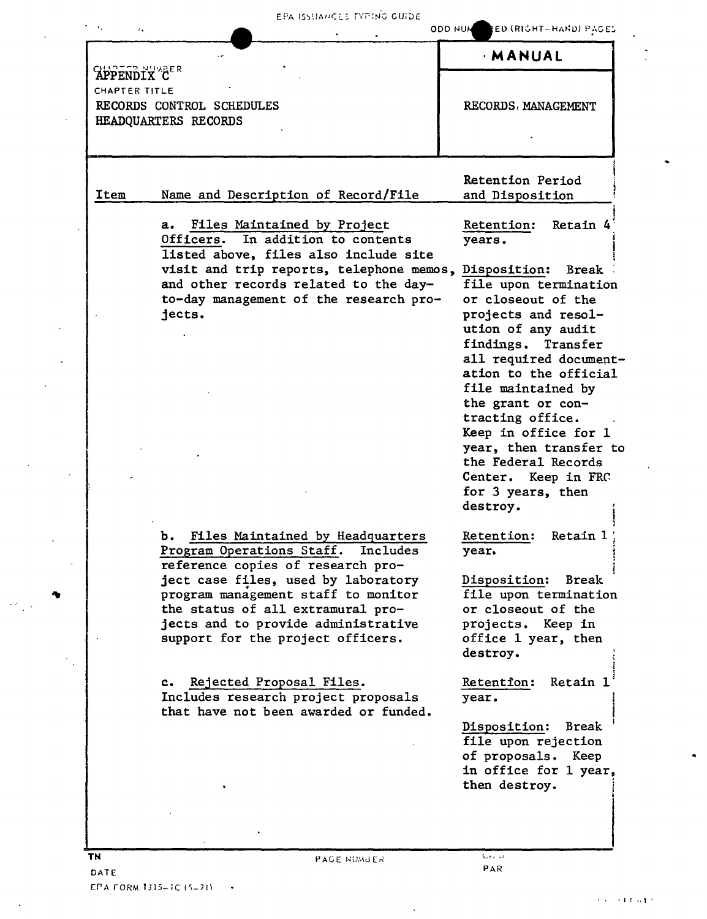EPA ISSUANCES TYPING GUIDE

| $\mathbf{r}_\infty$                  |                                                                                                                                                                                                                                                                                                                                                                                                                                    | ODD NUM RED (RIGHT-HAND) PAGES                                                                                                                                                                                                                                                                                                                                                                                                        |
|--------------------------------------|------------------------------------------------------------------------------------------------------------------------------------------------------------------------------------------------------------------------------------------------------------------------------------------------------------------------------------------------------------------------------------------------------------------------------------|---------------------------------------------------------------------------------------------------------------------------------------------------------------------------------------------------------------------------------------------------------------------------------------------------------------------------------------------------------------------------------------------------------------------------------------|
|                                      |                                                                                                                                                                                                                                                                                                                                                                                                                                    | <b>MANUAL</b>                                                                                                                                                                                                                                                                                                                                                                                                                         |
| <b>APPENDIX CER</b><br>CHAPTER TITLE | RECORDS CONTROL SCHEDULES<br>HEADQUARTERS RECORDS                                                                                                                                                                                                                                                                                                                                                                                  | RECORDS, MANAGEMENT                                                                                                                                                                                                                                                                                                                                                                                                                   |
| Item                                 | Name and Description of Record/File                                                                                                                                                                                                                                                                                                                                                                                                | Retention Period<br>and Disposition                                                                                                                                                                                                                                                                                                                                                                                                   |
|                                      | Files Maintained by Project<br>a.<br>In addition to contents<br>Officers.<br>listed above, files also include site<br>visit and trip reports, telephone memos,<br>and other records related to the day-<br>to-day management of the research pro-<br>jects.                                                                                                                                                                        | Retention:<br>Retain 4<br>years.<br>Disposition:<br><b>Break</b><br>file upon termination<br>or closeout of the<br>projects and resol-<br>ution of any audit<br>findings. Transfer<br>all required document-<br>ation to the official<br>file maintained by<br>the grant or con-<br>tracting office.<br>Keep in office for 1<br>year, then transfer to<br>the Federal Records<br>Center. Keep in FRC<br>for 3 years, then<br>destroy. |
|                                      | Files Maintained by Headquarters<br>Ъ.<br>Program Operations Staff. Includes<br>reference copies of research pro-<br>ject case files, used by laboratory<br>program management staff to monitor<br>the status of all extramural pro-<br>jects and to provide administrative<br>support for the project officers.<br>Rejected Proposal Files.<br>c.<br>Includes research project proposals<br>that have not been awarded or funded. | Retention:<br>Retain 1<br>year.<br>Disposition:<br><b>Break</b><br>file upon termination<br>or closeout of the<br>projects. Keep in<br>office 1 year, then<br>destroy.<br>Retain 1<br>Retention:<br>year.<br>Disposition:<br><b>Break</b><br>file upon rejection<br>of proposals.<br>Keep<br>in office for 1 year,<br>then destroy.                                                                                                   |
| TN                                   | PAGE NUMBER                                                                                                                                                                                                                                                                                                                                                                                                                        | Gas sa                                                                                                                                                                                                                                                                                                                                                                                                                                |

 $\overline{a}$ 

 $\ddot{\phantom{a}}$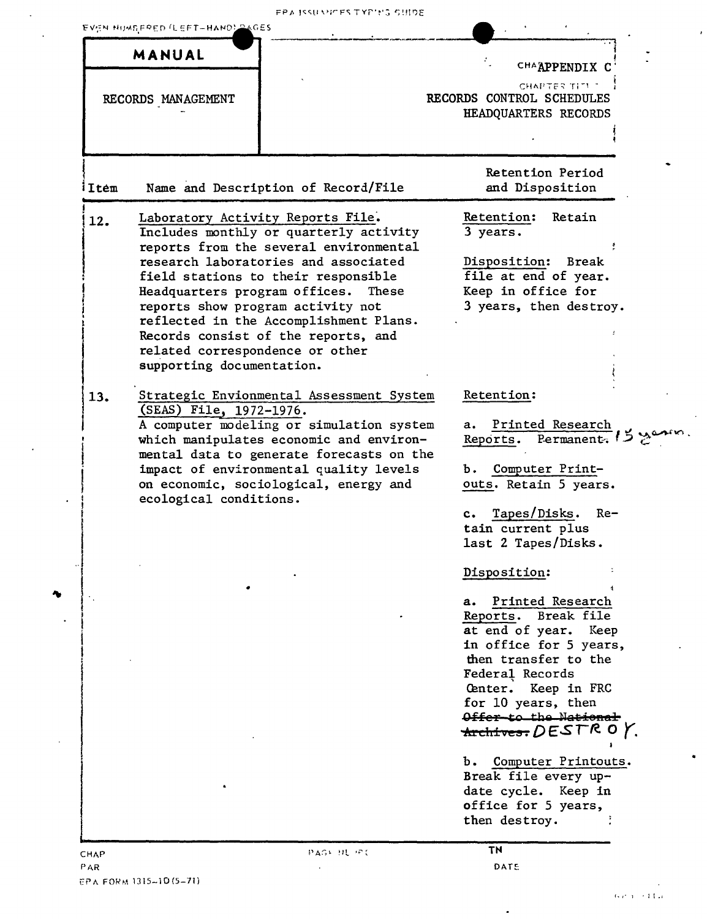FPA ISSUMPES TYPING SUIDE

| CHAAPPENDIX C<br>CHAPTER TITL T<br>RECORDS CONTROL SCHEDULES<br>RECORDS MANAGEMENT<br>HEADQUARTERS RECORDS<br>Retention Period<br>Name and Description of Record/File<br>and Disposition<br><b>Retention:</b><br>Retain<br>Laboratory Activity Reports File.<br>Includes monthly or quarterly activity<br>3 years.<br>reports from the several environmental<br>research laboratories and associated<br>Disposition: Break<br>file at end of year.<br>field stations to their responsible<br>Keep in office for<br>Headquarters program offices.<br>These<br>reports show program activity not<br>3 years, then destroy.<br>reflected in the Accomplishment Plans.<br>Records consist of the reports, and<br>related correspondence or other<br>supporting documentation.<br>Strategic Envionmental Assessment System<br>Retention:<br>(SEAS) File, 1972-1976.<br>A computer modeling or simulation system<br>Printed Research<br>а.<br>Reports. Permanent.<br>which manipulates economic and environ-<br>mental data to generate forecasts on the<br>impact of environmental quality levels<br>Computer Print-<br>ъ.<br>outs. Retain 5 years.<br>on economic, sociological, energy and<br>ecological conditions.<br>Tapes/Disks.<br>Re-<br>$\mathbf{c}$ .<br>tain current plus<br>last 2 Tapes/Disks.<br>Disposition:<br>Printed Research<br>а.<br>Reports. Break file<br>at end of year. Keep<br>in office for 5 years,<br>then transfer to the<br>Federal Records<br>Center. Keep in FRC<br>for 10 years, then<br>Offer-to the National<br>Ъ.<br>Break file every up-<br>date cycle. Keep in<br>office for 5 years,<br>then destroy. |       | MANUAL |           |                                 |
|-----------------------------------------------------------------------------------------------------------------------------------------------------------------------------------------------------------------------------------------------------------------------------------------------------------------------------------------------------------------------------------------------------------------------------------------------------------------------------------------------------------------------------------------------------------------------------------------------------------------------------------------------------------------------------------------------------------------------------------------------------------------------------------------------------------------------------------------------------------------------------------------------------------------------------------------------------------------------------------------------------------------------------------------------------------------------------------------------------------------------------------------------------------------------------------------------------------------------------------------------------------------------------------------------------------------------------------------------------------------------------------------------------------------------------------------------------------------------------------------------------------------------------------------------------------------------------------------------------------------------------------------|-------|--------|-----------|---------------------------------|
|                                                                                                                                                                                                                                                                                                                                                                                                                                                                                                                                                                                                                                                                                                                                                                                                                                                                                                                                                                                                                                                                                                                                                                                                                                                                                                                                                                                                                                                                                                                                                                                                                                         |       |        |           |                                 |
|                                                                                                                                                                                                                                                                                                                                                                                                                                                                                                                                                                                                                                                                                                                                                                                                                                                                                                                                                                                                                                                                                                                                                                                                                                                                                                                                                                                                                                                                                                                                                                                                                                         |       |        |           |                                 |
|                                                                                                                                                                                                                                                                                                                                                                                                                                                                                                                                                                                                                                                                                                                                                                                                                                                                                                                                                                                                                                                                                                                                                                                                                                                                                                                                                                                                                                                                                                                                                                                                                                         |       |        |           |                                 |
|                                                                                                                                                                                                                                                                                                                                                                                                                                                                                                                                                                                                                                                                                                                                                                                                                                                                                                                                                                                                                                                                                                                                                                                                                                                                                                                                                                                                                                                                                                                                                                                                                                         |       |        |           |                                 |
|                                                                                                                                                                                                                                                                                                                                                                                                                                                                                                                                                                                                                                                                                                                                                                                                                                                                                                                                                                                                                                                                                                                                                                                                                                                                                                                                                                                                                                                                                                                                                                                                                                         |       |        |           |                                 |
|                                                                                                                                                                                                                                                                                                                                                                                                                                                                                                                                                                                                                                                                                                                                                                                                                                                                                                                                                                                                                                                                                                                                                                                                                                                                                                                                                                                                                                                                                                                                                                                                                                         |       |        |           |                                 |
|                                                                                                                                                                                                                                                                                                                                                                                                                                                                                                                                                                                                                                                                                                                                                                                                                                                                                                                                                                                                                                                                                                                                                                                                                                                                                                                                                                                                                                                                                                                                                                                                                                         | iItem |        |           |                                 |
|                                                                                                                                                                                                                                                                                                                                                                                                                                                                                                                                                                                                                                                                                                                                                                                                                                                                                                                                                                                                                                                                                                                                                                                                                                                                                                                                                                                                                                                                                                                                                                                                                                         | 12.   |        |           |                                 |
|                                                                                                                                                                                                                                                                                                                                                                                                                                                                                                                                                                                                                                                                                                                                                                                                                                                                                                                                                                                                                                                                                                                                                                                                                                                                                                                                                                                                                                                                                                                                                                                                                                         |       |        |           |                                 |
|                                                                                                                                                                                                                                                                                                                                                                                                                                                                                                                                                                                                                                                                                                                                                                                                                                                                                                                                                                                                                                                                                                                                                                                                                                                                                                                                                                                                                                                                                                                                                                                                                                         |       |        |           |                                 |
|                                                                                                                                                                                                                                                                                                                                                                                                                                                                                                                                                                                                                                                                                                                                                                                                                                                                                                                                                                                                                                                                                                                                                                                                                                                                                                                                                                                                                                                                                                                                                                                                                                         |       |        |           |                                 |
|                                                                                                                                                                                                                                                                                                                                                                                                                                                                                                                                                                                                                                                                                                                                                                                                                                                                                                                                                                                                                                                                                                                                                                                                                                                                                                                                                                                                                                                                                                                                                                                                                                         |       |        |           |                                 |
|                                                                                                                                                                                                                                                                                                                                                                                                                                                                                                                                                                                                                                                                                                                                                                                                                                                                                                                                                                                                                                                                                                                                                                                                                                                                                                                                                                                                                                                                                                                                                                                                                                         |       |        |           |                                 |
|                                                                                                                                                                                                                                                                                                                                                                                                                                                                                                                                                                                                                                                                                                                                                                                                                                                                                                                                                                                                                                                                                                                                                                                                                                                                                                                                                                                                                                                                                                                                                                                                                                         |       |        |           |                                 |
|                                                                                                                                                                                                                                                                                                                                                                                                                                                                                                                                                                                                                                                                                                                                                                                                                                                                                                                                                                                                                                                                                                                                                                                                                                                                                                                                                                                                                                                                                                                                                                                                                                         |       |        |           |                                 |
|                                                                                                                                                                                                                                                                                                                                                                                                                                                                                                                                                                                                                                                                                                                                                                                                                                                                                                                                                                                                                                                                                                                                                                                                                                                                                                                                                                                                                                                                                                                                                                                                                                         |       |        |           |                                 |
|                                                                                                                                                                                                                                                                                                                                                                                                                                                                                                                                                                                                                                                                                                                                                                                                                                                                                                                                                                                                                                                                                                                                                                                                                                                                                                                                                                                                                                                                                                                                                                                                                                         |       |        |           |                                 |
|                                                                                                                                                                                                                                                                                                                                                                                                                                                                                                                                                                                                                                                                                                                                                                                                                                                                                                                                                                                                                                                                                                                                                                                                                                                                                                                                                                                                                                                                                                                                                                                                                                         |       |        |           |                                 |
|                                                                                                                                                                                                                                                                                                                                                                                                                                                                                                                                                                                                                                                                                                                                                                                                                                                                                                                                                                                                                                                                                                                                                                                                                                                                                                                                                                                                                                                                                                                                                                                                                                         |       |        |           |                                 |
|                                                                                                                                                                                                                                                                                                                                                                                                                                                                                                                                                                                                                                                                                                                                                                                                                                                                                                                                                                                                                                                                                                                                                                                                                                                                                                                                                                                                                                                                                                                                                                                                                                         | 13.   |        |           |                                 |
|                                                                                                                                                                                                                                                                                                                                                                                                                                                                                                                                                                                                                                                                                                                                                                                                                                                                                                                                                                                                                                                                                                                                                                                                                                                                                                                                                                                                                                                                                                                                                                                                                                         |       |        |           |                                 |
|                                                                                                                                                                                                                                                                                                                                                                                                                                                                                                                                                                                                                                                                                                                                                                                                                                                                                                                                                                                                                                                                                                                                                                                                                                                                                                                                                                                                                                                                                                                                                                                                                                         |       |        |           |                                 |
|                                                                                                                                                                                                                                                                                                                                                                                                                                                                                                                                                                                                                                                                                                                                                                                                                                                                                                                                                                                                                                                                                                                                                                                                                                                                                                                                                                                                                                                                                                                                                                                                                                         |       |        |           |                                 |
|                                                                                                                                                                                                                                                                                                                                                                                                                                                                                                                                                                                                                                                                                                                                                                                                                                                                                                                                                                                                                                                                                                                                                                                                                                                                                                                                                                                                                                                                                                                                                                                                                                         |       |        |           |                                 |
|                                                                                                                                                                                                                                                                                                                                                                                                                                                                                                                                                                                                                                                                                                                                                                                                                                                                                                                                                                                                                                                                                                                                                                                                                                                                                                                                                                                                                                                                                                                                                                                                                                         |       |        |           |                                 |
|                                                                                                                                                                                                                                                                                                                                                                                                                                                                                                                                                                                                                                                                                                                                                                                                                                                                                                                                                                                                                                                                                                                                                                                                                                                                                                                                                                                                                                                                                                                                                                                                                                         |       |        |           |                                 |
|                                                                                                                                                                                                                                                                                                                                                                                                                                                                                                                                                                                                                                                                                                                                                                                                                                                                                                                                                                                                                                                                                                                                                                                                                                                                                                                                                                                                                                                                                                                                                                                                                                         |       |        |           |                                 |
|                                                                                                                                                                                                                                                                                                                                                                                                                                                                                                                                                                                                                                                                                                                                                                                                                                                                                                                                                                                                                                                                                                                                                                                                                                                                                                                                                                                                                                                                                                                                                                                                                                         |       |        |           |                                 |
|                                                                                                                                                                                                                                                                                                                                                                                                                                                                                                                                                                                                                                                                                                                                                                                                                                                                                                                                                                                                                                                                                                                                                                                                                                                                                                                                                                                                                                                                                                                                                                                                                                         |       |        |           |                                 |
|                                                                                                                                                                                                                                                                                                                                                                                                                                                                                                                                                                                                                                                                                                                                                                                                                                                                                                                                                                                                                                                                                                                                                                                                                                                                                                                                                                                                                                                                                                                                                                                                                                         |       |        |           |                                 |
|                                                                                                                                                                                                                                                                                                                                                                                                                                                                                                                                                                                                                                                                                                                                                                                                                                                                                                                                                                                                                                                                                                                                                                                                                                                                                                                                                                                                                                                                                                                                                                                                                                         |       |        |           |                                 |
|                                                                                                                                                                                                                                                                                                                                                                                                                                                                                                                                                                                                                                                                                                                                                                                                                                                                                                                                                                                                                                                                                                                                                                                                                                                                                                                                                                                                                                                                                                                                                                                                                                         |       |        |           |                                 |
|                                                                                                                                                                                                                                                                                                                                                                                                                                                                                                                                                                                                                                                                                                                                                                                                                                                                                                                                                                                                                                                                                                                                                                                                                                                                                                                                                                                                                                                                                                                                                                                                                                         |       |        |           |                                 |
|                                                                                                                                                                                                                                                                                                                                                                                                                                                                                                                                                                                                                                                                                                                                                                                                                                                                                                                                                                                                                                                                                                                                                                                                                                                                                                                                                                                                                                                                                                                                                                                                                                         |       |        |           |                                 |
|                                                                                                                                                                                                                                                                                                                                                                                                                                                                                                                                                                                                                                                                                                                                                                                                                                                                                                                                                                                                                                                                                                                                                                                                                                                                                                                                                                                                                                                                                                                                                                                                                                         |       |        |           |                                 |
|                                                                                                                                                                                                                                                                                                                                                                                                                                                                                                                                                                                                                                                                                                                                                                                                                                                                                                                                                                                                                                                                                                                                                                                                                                                                                                                                                                                                                                                                                                                                                                                                                                         |       |        |           |                                 |
|                                                                                                                                                                                                                                                                                                                                                                                                                                                                                                                                                                                                                                                                                                                                                                                                                                                                                                                                                                                                                                                                                                                                                                                                                                                                                                                                                                                                                                                                                                                                                                                                                                         |       |        |           |                                 |
|                                                                                                                                                                                                                                                                                                                                                                                                                                                                                                                                                                                                                                                                                                                                                                                                                                                                                                                                                                                                                                                                                                                                                                                                                                                                                                                                                                                                                                                                                                                                                                                                                                         |       |        |           |                                 |
|                                                                                                                                                                                                                                                                                                                                                                                                                                                                                                                                                                                                                                                                                                                                                                                                                                                                                                                                                                                                                                                                                                                                                                                                                                                                                                                                                                                                                                                                                                                                                                                                                                         |       |        |           |                                 |
|                                                                                                                                                                                                                                                                                                                                                                                                                                                                                                                                                                                                                                                                                                                                                                                                                                                                                                                                                                                                                                                                                                                                                                                                                                                                                                                                                                                                                                                                                                                                                                                                                                         |       |        |           |                                 |
|                                                                                                                                                                                                                                                                                                                                                                                                                                                                                                                                                                                                                                                                                                                                                                                                                                                                                                                                                                                                                                                                                                                                                                                                                                                                                                                                                                                                                                                                                                                                                                                                                                         |       |        |           |                                 |
|                                                                                                                                                                                                                                                                                                                                                                                                                                                                                                                                                                                                                                                                                                                                                                                                                                                                                                                                                                                                                                                                                                                                                                                                                                                                                                                                                                                                                                                                                                                                                                                                                                         |       |        |           | <del>Archives:</del> DESTR 0 Y. |
|                                                                                                                                                                                                                                                                                                                                                                                                                                                                                                                                                                                                                                                                                                                                                                                                                                                                                                                                                                                                                                                                                                                                                                                                                                                                                                                                                                                                                                                                                                                                                                                                                                         |       |        |           |                                 |
|                                                                                                                                                                                                                                                                                                                                                                                                                                                                                                                                                                                                                                                                                                                                                                                                                                                                                                                                                                                                                                                                                                                                                                                                                                                                                                                                                                                                                                                                                                                                                                                                                                         |       |        |           | Computer Printouts.             |
|                                                                                                                                                                                                                                                                                                                                                                                                                                                                                                                                                                                                                                                                                                                                                                                                                                                                                                                                                                                                                                                                                                                                                                                                                                                                                                                                                                                                                                                                                                                                                                                                                                         |       |        |           |                                 |
|                                                                                                                                                                                                                                                                                                                                                                                                                                                                                                                                                                                                                                                                                                                                                                                                                                                                                                                                                                                                                                                                                                                                                                                                                                                                                                                                                                                                                                                                                                                                                                                                                                         |       |        |           |                                 |
|                                                                                                                                                                                                                                                                                                                                                                                                                                                                                                                                                                                                                                                                                                                                                                                                                                                                                                                                                                                                                                                                                                                                                                                                                                                                                                                                                                                                                                                                                                                                                                                                                                         |       |        |           |                                 |
|                                                                                                                                                                                                                                                                                                                                                                                                                                                                                                                                                                                                                                                                                                                                                                                                                                                                                                                                                                                                                                                                                                                                                                                                                                                                                                                                                                                                                                                                                                                                                                                                                                         |       |        |           |                                 |
|                                                                                                                                                                                                                                                                                                                                                                                                                                                                                                                                                                                                                                                                                                                                                                                                                                                                                                                                                                                                                                                                                                                                                                                                                                                                                                                                                                                                                                                                                                                                                                                                                                         | CHAP  |        | PAGE HUPT | ΤN                              |

 $\ddot{\phantom{a}}$ 

 $\lambda$ 

 $\ddot{\phantom{a}}$ 

÷,

 $\bar{z}$ 

 $\cdot$ 

 $\sim$   $\sim$ 

 $\epsilon$ 

 $\ddot{\phantom{0}}$ 

 $\bullet$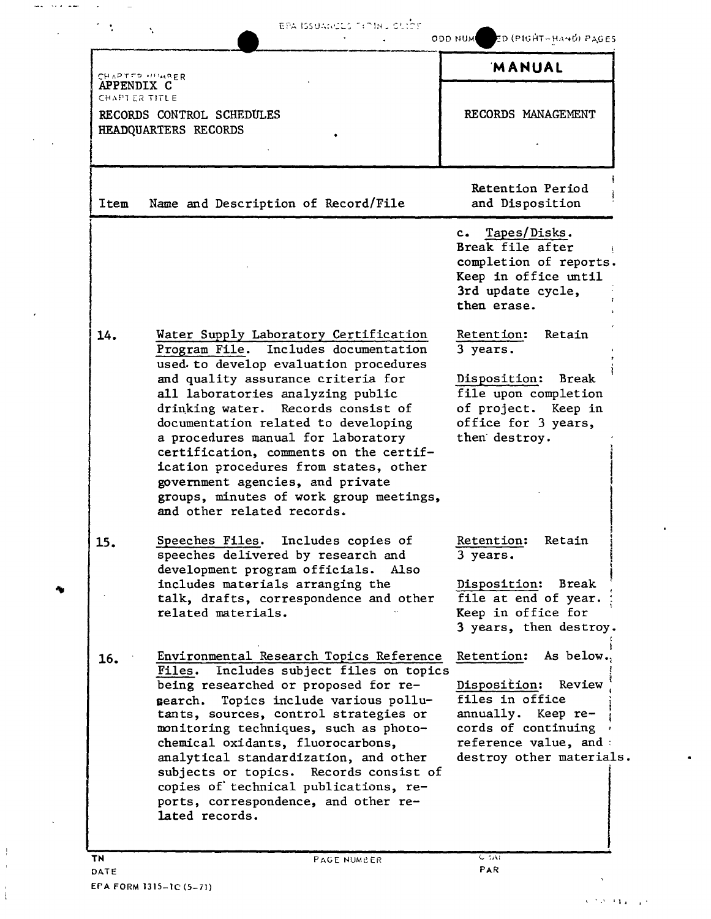|                   | t.                                                                                                                                                                                                                                                                                                                                                                                                                                                                                                                      | ODD NUM ED (PIGHT-HAND) PAGES                                                                                                                                         |
|-------------------|-------------------------------------------------------------------------------------------------------------------------------------------------------------------------------------------------------------------------------------------------------------------------------------------------------------------------------------------------------------------------------------------------------------------------------------------------------------------------------------------------------------------------|-----------------------------------------------------------------------------------------------------------------------------------------------------------------------|
| <b>APPENDIX C</b> | CHAPTED HIMRER                                                                                                                                                                                                                                                                                                                                                                                                                                                                                                          | <b>MANUAL</b>                                                                                                                                                         |
| CHAPTER TITLE     | RECORDS CONTROL SCHEDULES<br>HEADQUARTERS RECORDS                                                                                                                                                                                                                                                                                                                                                                                                                                                                       | RECORDS MANAGEMENT                                                                                                                                                    |
| Item              | Name and Description of Record/File                                                                                                                                                                                                                                                                                                                                                                                                                                                                                     | Retention Period<br>and Disposition                                                                                                                                   |
|                   |                                                                                                                                                                                                                                                                                                                                                                                                                                                                                                                         | Tapes/Disks.<br>$c_{\bullet}$<br>Break file after<br>completion of reports.<br>Keep in office until<br>3rd update cycle,<br>then erase.                               |
| 14.               | Water Supply Laboratory Certification<br>Program File. Includes documentation<br>used to develop evaluation procedures<br>and quality assurance criteria for<br>all laboratories analyzing public<br>drinking water.<br>Records consist of<br>documentation related to developing<br>a procedures manual for laboratory<br>certification, comments on the certif-<br>ication procedures from states, other<br>government agencies, and private<br>groups, minutes of work group meetings,<br>and other related records. | Retention:<br>Retain<br>3 years.<br>Disposition: Break<br>file upon completion<br>of project. Keep in<br>office for 3 years,<br>then destroy.                         |
| 15.               | Speeches Files. Includes copies of<br>speeches delivered by research and<br>development program officials. Also<br>includes materials arranging the<br>talk, drafts, correspondence and other<br>related materials.                                                                                                                                                                                                                                                                                                     | Retention:<br>Retain<br>3 years.<br>Disposition: Break<br>file at end of year.<br>Keep in office for<br>3 years, then destroy.                                        |
| 16.               | Environmental Research Topics Reference<br>Includes subject files on topics<br>Files.<br>being researched or proposed for re-<br>Topics include various pollu-<br>search.<br>tants, sources, control strategies or<br>monitoring techniques, such as photo-<br>chemical oxidants, fluorocarbons,<br>analytical standardization, and other<br>subjects or topics. Records consist of<br>copies of technical publications, re-<br>ports, correspondence, and other re-<br>lated records.                                  | Retention:<br>As below.<br>Disposition:<br>Review<br>files in office<br>annually. Keep re-<br>cords of continuing<br>reference value, and<br>destroy other materials. |
| TN                | PAGE NUMBER                                                                                                                                                                                                                                                                                                                                                                                                                                                                                                             | $C = 1$                                                                                                                                                               |

and the second contract  $\mathcal{L}^{(1)}$  , and  $\mathcal{L}^{(2)}$ 

 $\sim$ 

 $\sim$  $\sim$ 

 $\epsilon$ 

٠

 $\bar{\lambda}$ 

 $\frac{1}{4}$  $\bar{\bar{1}}$ 

 $\stackrel{+}{\pm}$ 

 $\Delta$  .

 $\bullet$ 

 $\bullet$